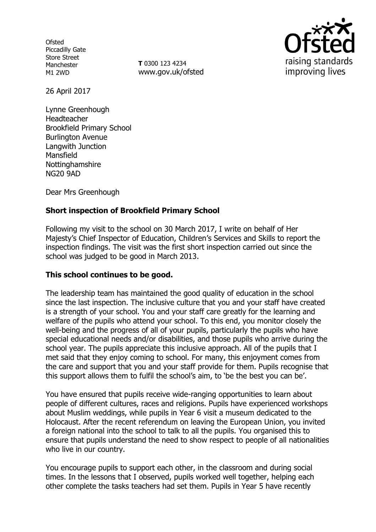**Ofsted** Piccadilly Gate Store Street Manchester M1 2WD

**T** 0300 123 4234 www.gov.uk/ofsted



26 April 2017

Lynne Greenhough Headteacher Brookfield Primary School Burlington Avenue Langwith Junction Mansfield **Nottinghamshire** NG20 9AD

Dear Mrs Greenhough

## **Short inspection of Brookfield Primary School**

Following my visit to the school on 30 March 2017, I write on behalf of Her Majesty's Chief Inspector of Education, Children's Services and Skills to report the inspection findings. The visit was the first short inspection carried out since the school was judged to be good in March 2013.

#### **This school continues to be good.**

The leadership team has maintained the good quality of education in the school since the last inspection. The inclusive culture that you and your staff have created is a strength of your school. You and your staff care greatly for the learning and welfare of the pupils who attend your school. To this end, you monitor closely the well-being and the progress of all of your pupils, particularly the pupils who have special educational needs and/or disabilities, and those pupils who arrive during the school year. The pupils appreciate this inclusive approach. All of the pupils that I met said that they enjoy coming to school. For many, this enjoyment comes from the care and support that you and your staff provide for them. Pupils recognise that this support allows them to fulfil the school's aim, to 'be the best you can be'.

You have ensured that pupils receive wide-ranging opportunities to learn about people of different cultures, races and religions. Pupils have experienced workshops about Muslim weddings, while pupils in Year 6 visit a museum dedicated to the Holocaust. After the recent referendum on leaving the European Union, you invited a foreign national into the school to talk to all the pupils. You organised this to ensure that pupils understand the need to show respect to people of all nationalities who live in our country.

You encourage pupils to support each other, in the classroom and during social times. In the lessons that I observed, pupils worked well together, helping each other complete the tasks teachers had set them. Pupils in Year 5 have recently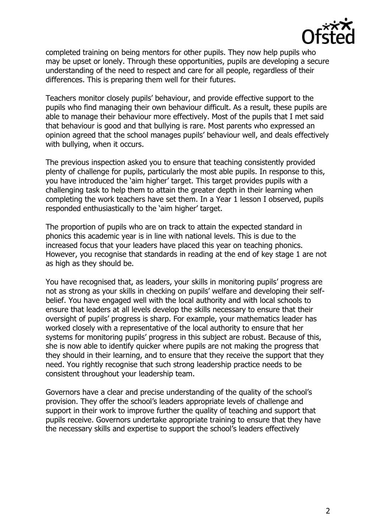

completed training on being mentors for other pupils. They now help pupils who may be upset or lonely. Through these opportunities, pupils are developing a secure understanding of the need to respect and care for all people, regardless of their differences. This is preparing them well for their futures.

Teachers monitor closely pupils' behaviour, and provide effective support to the pupils who find managing their own behaviour difficult. As a result, these pupils are able to manage their behaviour more effectively. Most of the pupils that I met said that behaviour is good and that bullying is rare. Most parents who expressed an opinion agreed that the school manages pupils' behaviour well, and deals effectively with bullying, when it occurs.

The previous inspection asked you to ensure that teaching consistently provided plenty of challenge for pupils, particularly the most able pupils. In response to this, you have introduced the 'aim higher' target. This target provides pupils with a challenging task to help them to attain the greater depth in their learning when completing the work teachers have set them. In a Year 1 lesson I observed, pupils responded enthusiastically to the 'aim higher' target.

The proportion of pupils who are on track to attain the expected standard in phonics this academic year is in line with national levels. This is due to the increased focus that your leaders have placed this year on teaching phonics. However, you recognise that standards in reading at the end of key stage 1 are not as high as they should be.

You have recognised that, as leaders, your skills in monitoring pupils' progress are not as strong as your skills in checking on pupils' welfare and developing their selfbelief. You have engaged well with the local authority and with local schools to ensure that leaders at all levels develop the skills necessary to ensure that their oversight of pupils' progress is sharp. For example, your mathematics leader has worked closely with a representative of the local authority to ensure that her systems for monitoring pupils' progress in this subject are robust. Because of this, she is now able to identify quicker where pupils are not making the progress that they should in their learning, and to ensure that they receive the support that they need. You rightly recognise that such strong leadership practice needs to be consistent throughout your leadership team.

Governors have a clear and precise understanding of the quality of the school's provision. They offer the school's leaders appropriate levels of challenge and support in their work to improve further the quality of teaching and support that pupils receive. Governors undertake appropriate training to ensure that they have the necessary skills and expertise to support the school's leaders effectively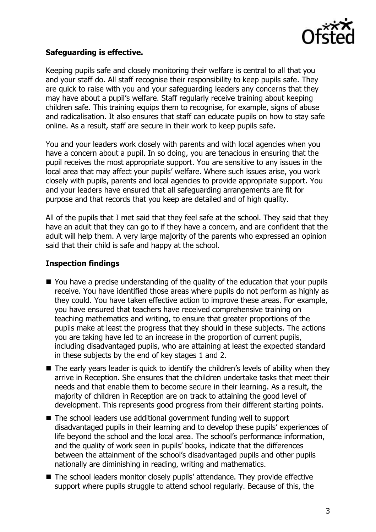

#### **Safeguarding is effective.**

Keeping pupils safe and closely monitoring their welfare is central to all that you and your staff do. All staff recognise their responsibility to keep pupils safe. They are quick to raise with you and your safeguarding leaders any concerns that they may have about a pupil's welfare. Staff regularly receive training about keeping children safe. This training equips them to recognise, for example, signs of abuse and radicalisation. It also ensures that staff can educate pupils on how to stay safe online. As a result, staff are secure in their work to keep pupils safe.

You and your leaders work closely with parents and with local agencies when you have a concern about a pupil. In so doing, you are tenacious in ensuring that the pupil receives the most appropriate support. You are sensitive to any issues in the local area that may affect your pupils' welfare. Where such issues arise, you work closely with pupils, parents and local agencies to provide appropriate support. You and your leaders have ensured that all safeguarding arrangements are fit for purpose and that records that you keep are detailed and of high quality.

All of the pupils that I met said that they feel safe at the school. They said that they have an adult that they can go to if they have a concern, and are confident that the adult will help them. A very large majority of the parents who expressed an opinion said that their child is safe and happy at the school.

## **Inspection findings**

- You have a precise understanding of the quality of the education that your pupils receive. You have identified those areas where pupils do not perform as highly as they could. You have taken effective action to improve these areas. For example, you have ensured that teachers have received comprehensive training on teaching mathematics and writing, to ensure that greater proportions of the pupils make at least the progress that they should in these subjects. The actions you are taking have led to an increase in the proportion of current pupils, including disadvantaged pupils, who are attaining at least the expected standard in these subjects by the end of key stages 1 and 2.
- The early years leader is quick to identify the children's levels of ability when they arrive in Reception. She ensures that the children undertake tasks that meet their needs and that enable them to become secure in their learning. As a result, the majority of children in Reception are on track to attaining the good level of development. This represents good progress from their different starting points.
- The school leaders use additional government funding well to support disadvantaged pupils in their learning and to develop these pupils' experiences of life beyond the school and the local area. The school's performance information, and the quality of work seen in pupils' books, indicate that the differences between the attainment of the school's disadvantaged pupils and other pupils nationally are diminishing in reading, writing and mathematics.
- The school leaders monitor closely pupils' attendance. They provide effective support where pupils struggle to attend school regularly. Because of this, the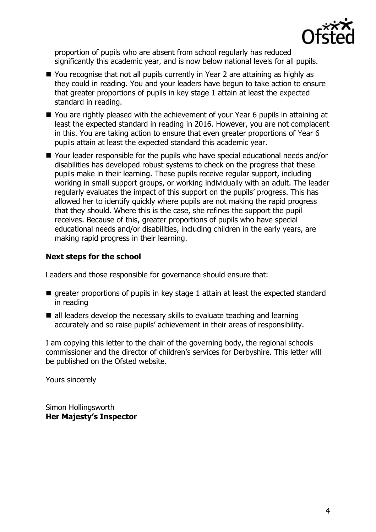

proportion of pupils who are absent from school regularly has reduced significantly this academic year, and is now below national levels for all pupils.

- You recognise that not all pupils currently in Year 2 are attaining as highly as they could in reading. You and your leaders have begun to take action to ensure that greater proportions of pupils in key stage 1 attain at least the expected standard in reading.
- You are rightly pleased with the achievement of your Year 6 pupils in attaining at least the expected standard in reading in 2016. However, you are not complacent in this. You are taking action to ensure that even greater proportions of Year 6 pupils attain at least the expected standard this academic year.
- Your leader responsible for the pupils who have special educational needs and/or disabilities has developed robust systems to check on the progress that these pupils make in their learning. These pupils receive regular support, including working in small support groups, or working individually with an adult. The leader regularly evaluates the impact of this support on the pupils' progress. This has allowed her to identify quickly where pupils are not making the rapid progress that they should. Where this is the case, she refines the support the pupil receives. Because of this, greater proportions of pupils who have special educational needs and/or disabilities, including children in the early years, are making rapid progress in their learning.

# **Next steps for the school**

Leaders and those responsible for governance should ensure that:

- $\blacksquare$  greater proportions of pupils in key stage 1 attain at least the expected standard in reading
- all leaders develop the necessary skills to evaluate teaching and learning accurately and so raise pupils' achievement in their areas of responsibility.

I am copying this letter to the chair of the governing body, the regional schools commissioner and the director of children's services for Derbyshire. This letter will be published on the Ofsted website.

Yours sincerely

Simon Hollingsworth **Her Majesty's Inspector**